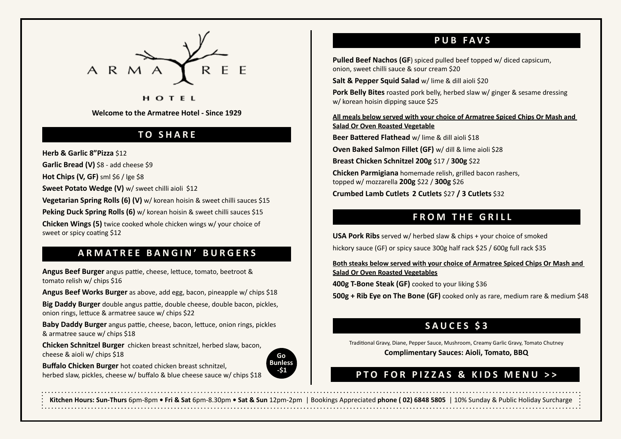

#### HOTEL

**Welcome to the Armatree Hotel - Since 1929**

#### **TO SHARE**

**Herb & Garlic 8"Pizza** \$12

**Garlic Bread (V)** \$8 - add cheese \$9

**Hot Chips (V, GF)** sml \$6 / lge \$8

Sweet Potato Wedge (V) w/ sweet chilli aioli \$12

**Vegetarian Spring Rolls (6) (V)** w/ korean hoisin & sweet chilli sauces \$15

**Peking Duck Spring Rolls (6)** w/ korean hoisin & sweet chilli sauces \$15

**Chicken Wings (5)** twice cooked whole chicken wings w/ your choice of sweet or spicy coating \$12

#### **ARMATREE BANGIN' BURGERS**

**Angus Beef Burger** angus pattie, cheese, lettuce, tomato, beetroot & tomato relish w/ chips \$16

**Angus Beef Works Burger** as above, add egg, bacon, pineapple w/ chips \$18

**Big Daddy Burger** double angus pattie, double cheese, double bacon, pickles, onion rings, lettuce & armatree sauce w/ chips \$22

**Baby Daddy Burger** angus pattie, cheese, bacon, lettuce, onion rings, pickles & armatree sauce w/ chips \$18

**Chicken Schnitzel Burger** chicken breast schnitzel, herbed slaw, bacon, cheese & aioli w/ chips \$18



**Buffalo Chicken Burger** hot coated chicken breast schnitzel, herbed slaw, pickles, cheese w/ buffalo & blue cheese sauce w/ chips \$18

# **PUB FAVS**

**Pulled Beef Nachos (GF)** spiced pulled beef topped w/ diced capsicum, onion, sweet chilli sauce & sour cream \$20

**Salt & Pepper Squid Salad** w/ lime & dill aioli \$20

**Pork Belly Bites** roasted pork belly, herbed slaw w/ ginger & sesame dressing w/ korean hoisin dipping sauce \$25

**All meals below served with your choice of Armatree Spiced Chips Or Mash and Salad Or Oven Roasted Vegetable**

**Beer Battered Flathead** w/ lime & dill aioli \$18

**Oven Baked Salmon Fillet (GF)** w/ dill & lime aioli \$28

**Breast Chicken Schnitzel 200g** \$17 / **300g** \$22

**Chicken Parmigiana** homemade relish, grilled bacon rashers, topped w/ mozzarella **200g** \$22 / **300g** \$26 **Crumbed Lamb Cutlets 2 Cutlets** \$27 **/ 3 Cutlets** \$32

# **FROM THE GRILL**

**USA Pork Ribs** served w/ herbed slaw & chips + your choice of smoked hickory sauce (GF) or spicy sauce 300g half rack \$25 / 600g full rack \$35

**Both steaks below served with your choice of Armatree Spiced Chips Or Mash and Salad Or Oven Roasted Vegetables**

**400g T-Bone Steak (GF)** cooked to your liking \$36

**500g + Rib Eye on The Bone (GF)** cooked only as rare, medium rare & medium \$48

#### **SAUCES \$3**

Traditional Gravy, Diane, Pepper Sauce, Mushroom, Creamy Garlic Gravy, Tomato Chutney **Complimentary Sauces: Aioli, Tomato, BBQ**

# **PTO FOR PIZZAS & KIDS MENU >>**

**Kitchen Hours: Sun-Thurs** 6pm-8pm **• Fri & Sat** 6pm-8.30pm **• Sat & Sun** 12pm-2pm | Bookings Appreciated **phone ( 02) 6848 5805** | 10% Sunday & Public Holiday Surcharge